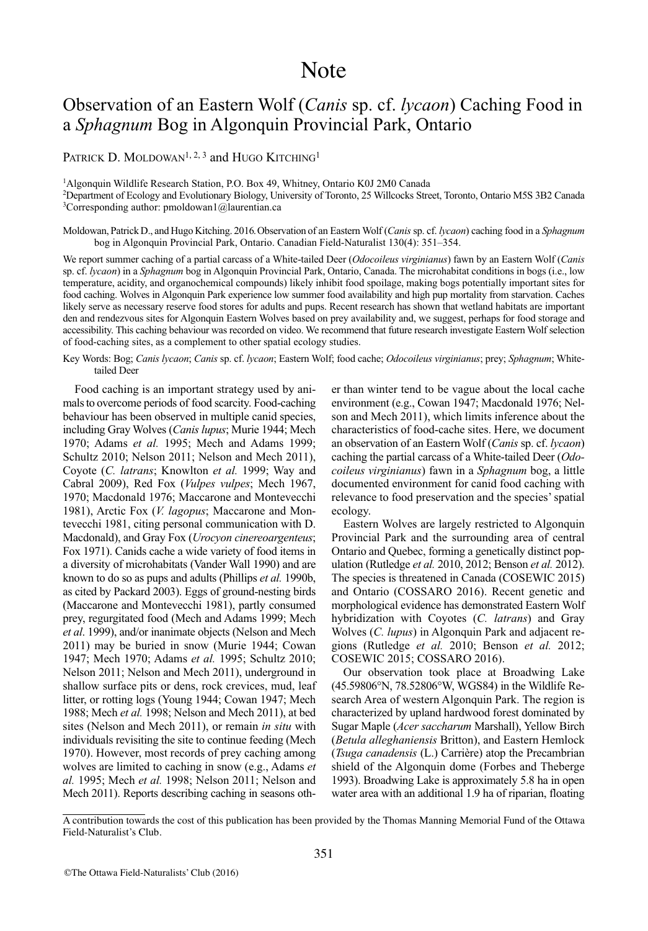# Note

## Observation of an Eastern Wolf (*Canis* sp. cf. *lycaon*) Caching Food in a *Sphagnum* Bog in Algonquin Provincial Park, Ontario

### PATRICK D. MOLDOWAN<sup>1, 2, 3</sup> and HUGO KITCHING<sup>1</sup>

1Algonquin Wildlife Research Station, P.O. Box 49, Whitney, Ontario K0J 2M0 Canada

2 Department of Ecology and Evolutionary Biology, University of Toronto, 25 Willcocks Street, Toronto, Ontario M5S 3B2 Canada  $3$ Corresponding author: pmoldowan1@laurentian.ca

Moldowan, Patrick D., and Hugo Kitching. 2016.Observation of an Eastern Wolf (*Canis* sp. cf. *lycaon*) caching food in a *Sphagnum* bog in Algonquin Provincial Park, Ontario. Canadian Field-Naturalist 130(4): 351–354.

We report summer caching of a partial carcass of a White-tailed Deer (*Odocoileus virginianus*) fawn by an Eastern Wolf (*Canis* sp. cf. *lycaon*) in a *Sphagnum* bog in Algonquin Provincial Park, Ontario, Canada. The microhabitat conditions in bogs (i.e., low temperature, acidity, and organochemical compounds) likely inhibit food spoilage, making bogs potentially important sites for food caching. Wolves in Algonquin Park experience low summer food availability and high pup mortality from starvation. Caches likely serve as necessary reserve food stores for adults and pups. Recent research has shown that wetland habitats are important den and rendezvous sites for Algonquin Eastern Wolves based on prey availability and, we suggest, perhaps for food storage and accessibility. This caching behaviour was recorded on video. We recommend that future research investigate Eastern Wolf selection of food-caching sites, as a complement to other spatial ecology studies.

Key Words: Bog; *Canis lycaon*; *Canis* sp. cf. *lycaon*; Eastern Wolf; food cache; *Odocoileus virginianus*; prey; *Sphagnum*; Whitetailed Deer

Food caching is an important strategy used by animals to overcome periods of food scarcity. Food-caching behaviour has been observed in multiple canid species, including Gray Wolves (*Canis lupus*; Murie 1944; Mech 1970; Adams *et al.* 1995; Mech and Adams 1999; Schultz 2010; Nelson 2011; Nelson and Mech 2011), Coyote (*C. latrans*; Knowlton *et al.* 1999; Way and Cabral 2009), Red Fox (*Vulpes vulpes*; Mech 1967, 1970; Macdonald 1976; Maccarone and Montevecchi 1981), Arctic Fox (*V. lagopus*; Maccarone and Montevecchi 1981, citing personal communication with D. Macdonald), and Gray Fox (*Urocyon cinereoargenteus*; Fox 1971). Canids cache a wide variety of food items in a diversity of microhabitats (Vander Wall 1990) and are known to do so as pups and adults (Phillips *et al.* 1990b, as cited by Packard 2003). Eggs of ground-nesting birds (Maccarone and Montevecchi 1981), partly consumed prey, regurgitated food (Mech and Adams 1999; Mech *et al*. 1999), and/or inanimate objects (Nelson and Mech 2011) may be buried in snow (Murie 1944; Cowan 1947; Mech 1970; Adams *et al.* 1995; Schultz 2010; Nelson 2011; Nelson and Mech 2011), underground in shallow surface pits or dens, rock crevices, mud, leaf litter, or rotting logs (Young 1944; Cowan 1947; Mech 1988; Mech *et al.* 1998; Nelson and Mech 2011), at bed sites (Nelson and Mech 2011), or remain *in situ* with individuals revisiting the site to continue feeding (Mech 1970). However, most records of prey caching among wolves are limited to caching in snow (e.g., Adams *et al.* 1995; Mech *et al.* 1998; Nelson 2011; Nelson and Mech 2011). Reports describing caching in seasons oth-

er than winter tend to be vague about the local cache environment (e.g., Cowan 1947; Macdonald 1976; Nelson and Mech 2011), which limits inference about the characteristics of food-cache sites. Here, we document an observation of an Eastern Wolf (*Canis* sp. cf. *lycaon*) caching the partial carcass of a White-tailed Deer (*Odocoileus virginianus*) fawn in a *Sphagnum* bog, a little documented environment for canid food caching with relevance to food preservation and the species'spatial ecology.

Eastern Wolves are largely restricted to Algonquin Provincial Park and the surrounding area of central Ontario and Quebec, forming a genetically distinct population (Rutledge *et al.* 2010, 2012; Benson *et al.* 2012). The species is threatened in Canada (COSEWIC 2015) and Ontario (COSSARO 2016). Recent genetic and morphological evidence has demonstrated Eastern Wolf hybridization with Coyotes (*C. latrans*) and Gray Wolves (*C. lupus*) in Algonquin Park and adjacent regions (Rutledge *et al.* 2010; Benson *et al.* 2012; COSEWIC 2015; COSSARO 2016).

Our observation took place at Broadwing Lake (45.59806°N, 78.52806°W, WGS84) in the Wildlife Research Area of western Algonquin Park. The region is characterized by upland hardwood forest dominated by Sugar Maple (*Acer saccharum* Marshall), Yellow Birch (*Betula alleghaniensis* Britton), and Eastern Hemlock (*Tsuga canadensis* (L.) Carrière) atop the Precambrian shield of the Algonquin dome (Forbes and Theberge 1993). Broadwing Lake is approximately 5.8 ha in open water area with an additional 1.9 ha of riparian, floating

A contribution towards the cost of this publication has been provided by the Thomas Manning Memorial Fund of the Ottawa Field-Naturalist's Club.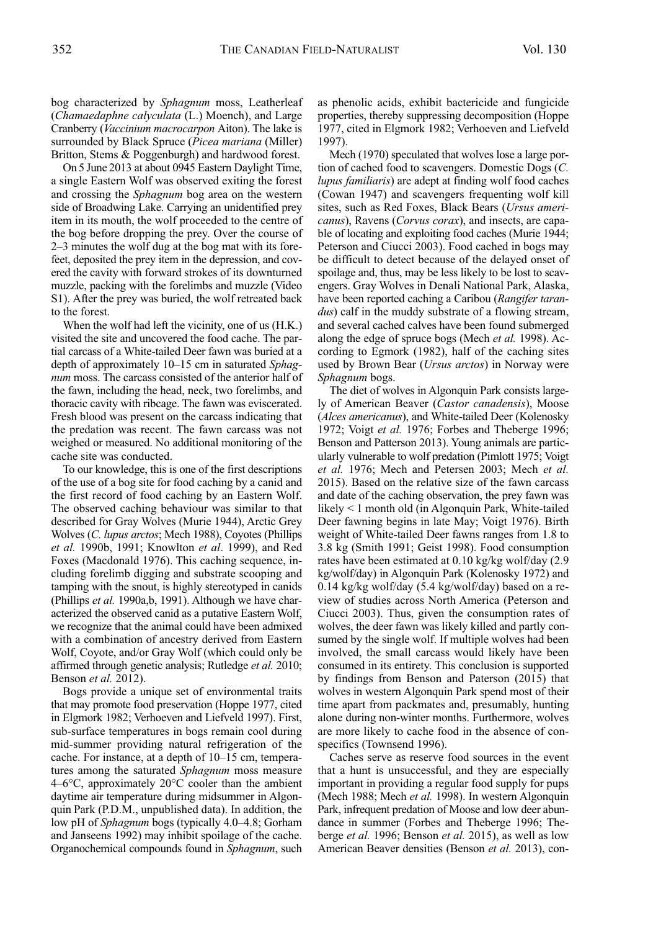bog characterized by *Sphagnum* moss, Leatherleaf (*Chamaedaphne calyculata* (L.) Moench), and Large Cranberry (*Vaccinium macrocarpon* Aiton). The lake is surrounded by Black Spruce (*Picea mariana* (Miller)

Britton, Stems & Poggenburgh) and hardwood forest. On 5 June 2013 at about 0945 Eastern Daylight Time, a single Eastern Wolf was observed exiting the forest and crossing the *Sphagnum* bog area on the western side of Broadwing Lake. Carrying an unidentified prey item in its mouth, the wolf proceeded to the centre of the bog before dropping the prey. Over the course of 2–3 minutes the wolf dug at the bog mat with its forefeet, deposited the prey item in the depression, and covered the cavity with forward strokes of its downturned muzzle, packing with the forelimbs and muzzle (Video S1). After the prey was buried, the wolf retreated back to the forest.

When the wolf had left the vicinity, one of us (H.K.) visited the site and uncovered the food cache. The partial carcass of a White-tailed Deer fawn was buried at a depth of approximately 10–15 cm in saturated *Sphagnum* moss. The carcass consisted of the anterior half of the fawn, including the head, neck, two forelimbs, and thoracic cavity with ribcage. The fawn was eviscerated. Fresh blood was present on the carcass indicating that the predation was recent. The fawn carcass was not weighed or measured. No additional monitoring of the cache site was conducted.

To our knowledge, this is one of the first descriptions of the use of a bog site for food caching by a canid and the first record of food caching by an Eastern Wolf. The observed caching behaviour was similar to that described for Gray Wolves (Murie 1944), Arctic Grey Wolves (*C. lupus arctos*; Mech 1988), Coyotes (Phillips *et al.* 1990b, 1991; Knowlton *et al*. 1999), and Red Foxes (Macdonald 1976). This caching sequence, including forelimb digging and substrate scooping and tamping with the snout, is highly stereotyped in canids (Phillips *et al.* 1990a,b, 1991). Although we have characterized the observed canid as a putative Eastern Wolf, we recognize that the animal could have been admixed with a combination of ancestry derived from Eastern Wolf, Coyote, and/or Gray Wolf (which could only be affirmed through genetic analysis; Rutledge *et al.* 2010; Benson *et al.* 2012).

Bogs provide a unique set of environmental traits that may promote food preservation (Hoppe 1977, cited in Elgmork 1982; Verhoeven and Liefveld 1997). First, sub-surface temperatures in bogs remain cool during mid-summer providing natural refrigeration of the cache. For instance, at a depth of 10–15 cm, temperatures among the saturated *Sphagnum* moss measure 4–6°C, approximately 20°C cooler than the ambient daytime air temperature during midsummer in Algonquin Park (P.D.M., unpublished data). In addition, the low pH of *Sphagnum* bogs (typically 4.0–4.8; Gorham and Janseens 1992) may inhibit spoilage of the cache. Organochemical compounds found in *Sphagnum*, such as phenolic acids, exhibit bactericide and fungicide properties, thereby suppressing decomposition (Hoppe 1977, cited in Elgmork 1982; Verhoeven and Liefveld 1997).

Mech (1970) speculated that wolves lose a large portion of cached food to scavengers. Domestic Dogs (*C. lupus familiaris*) are adept at finding wolf food caches (Cowan 1947) and scavengers frequenting wolf kill sites, such as Red Foxes, Black Bears (*Ursus americanus*), Ravens (*Corvus corax*), and insects, are capable of locating and exploiting food caches (Murie 1944; Peterson and Ciucci 2003). Food cached in bogs may be difficult to detect because of the delayed onset of spoilage and, thus, may be less likely to be lost to scavengers. Gray Wolves in Denali National Park, Alaska, have been reported caching a Caribou (*Rangifer tarandus*) calf in the muddy substrate of a flowing stream, and several cached calves have been found submerged along the edge of spruce bogs (Mech *et al.* 1998). According to Egmork (1982), half of the caching sites used by Brown Bear (*Ursus arctos*) in Norway were *Sphagnum* bogs.

The diet of wolves in Algonquin Park consists largely of American Beaver (*Castor canadensis*), Moose (*Alces americanus*), and White-tailed Deer (Kolenosky 1972; Voigt *et al.* 1976; Forbes and Theberge 1996; Benson and Patterson 2013). Young animals are particularly vulnerable to wolf predation (Pimlott 1975; Voigt *et al.* 1976; Mech and Petersen 2003; Mech *et al.* 2015). Based on the relative size of the fawn carcass and date of the caching observation, the prey fawn was likely < 1 month old (in Algonquin Park, White-tailed Deer fawning begins in late May; Voigt 1976). Birth weight of White-tailed Deer fawns ranges from 1.8 to 3.8 kg (Smith 1991; Geist 1998). Food consumption rates have been estimated at 0.10 kg/kg wolf/day (2.9 kg/wolf/day) in Algonquin Park (Kolenosky 1972) and 0.14 kg/kg wolf/day (5.4 kg/wolf/day) based on a review of studies across North America (Peterson and Ciucci 2003). Thus, given the consumption rates of wolves, the deer fawn was likely killed and partly consumed by the single wolf. If multiple wolves had been involved, the small carcass would likely have been consumed in its entirety. This conclusion is supported by findings from Benson and Paterson (2015) that wolves in western Algonquin Park spend most of their time apart from packmates and, presumably, hunting alone during non-winter months. Furthermore, wolves are more likely to cache food in the absence of conspecifics (Townsend 1996).

Caches serve as reserve food sources in the event that a hunt is unsuccessful, and they are especially important in providing a regular food supply for pups (Mech 1988; Mech *et al.* 1998). In western Algonquin Park, infrequent predation of Moose and low deer abundance in summer (Forbes and Theberge 1996; Theberge *et al.* 1996; Benson *et al.* 2015), as well as low American Beaver densities (Benson *et al.* 2013), con-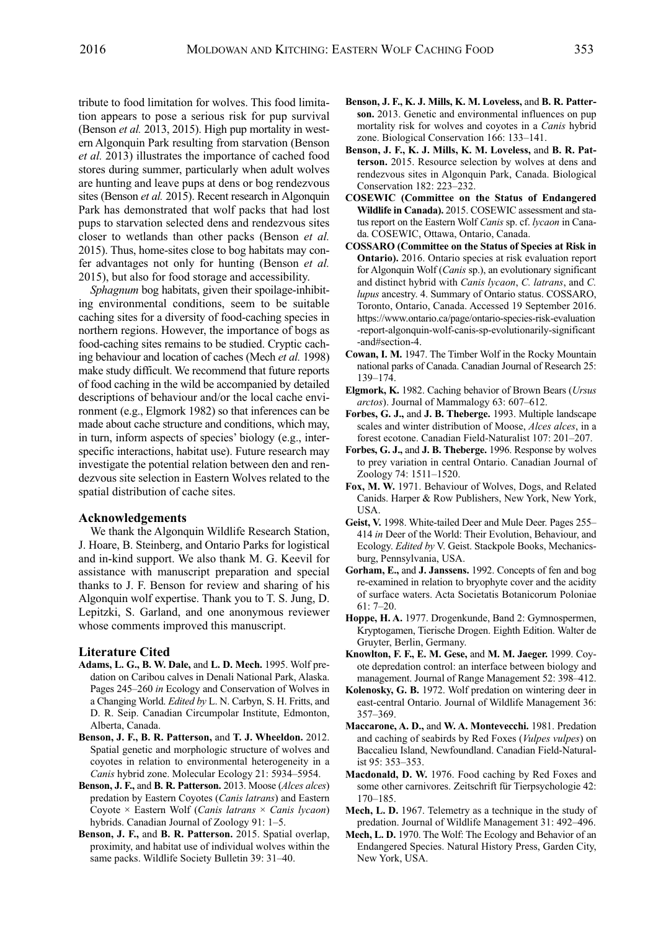tribute to food limitation for wolves. This food limitation appears to pose a serious risk for pup survival (Benson *et al.* 2013, 2015). High pup mortality in western Algonquin Park resulting from starvation (Benson *et al.* 2013) illustrates the importance of cached food stores during summer, particularly when adult wolves are hunting and leave pups at dens or bog rendezvous sites (Benson *et al.* 2015). Recent research in Algonquin Park has demonstrated that wolf packs that had lost pups to starvation selected dens and rendezvous sites closer to wetlands than other packs (Benson *et al.* 2015). Thus, home-sites close to bog habitats may confer advantages not only for hunting (Benson *et al.* 2015), but also for food storage and accessibility.

*Sphagnum* bog habitats, given their spoilage-inhibiting environmental conditions, seem to be suitable caching sites for a diversity of food-caching species in northern regions. However, the importance of bogs as food-caching sites remains to be studied. Cryptic caching behaviour and location of caches (Mech *et al.* 1998) make study difficult. We recommend that future reports of food caching in the wild be accompanied by detailed descriptions of behaviour and/or the local cache environment (e.g., Elgmork 1982) so that inferences can be made about cache structure and conditions, which may, in turn, inform aspects of species' biology (e.g., interspecific interactions, habitat use). Future research may investigate the potential relation between den and rendezvous site selection in Eastern Wolves related to the spatial distribution of cache sites.

#### **Acknowledgements**

We thank the Algonquin Wildlife Research Station, J. Hoare, B. Steinberg, and Ontario Parks for logistical and in-kind support. We also thank M. G. Keevil for assistance with manuscript preparation and special thanks to J. F. Benson for review and sharing of his Algonquin wolf expertise. Thank you to T. S. Jung, D. Lepitzki, S. Garland, and one anonymous reviewer whose comments improved this manuscript.

#### **Literature Cited**

- **Adams, L. G., B. W. Dale,** and **L. D. Mech.** 1995. Wolf predation on Caribou calves in Denali National Park, Alaska. Pages 245–260 *in* Ecology and Conservation of Wolves in a Changing World. *Edited by* L. N. Carbyn, S. H. Fritts, and D. R. Seip. Canadian Circumpolar Institute, Edmonton, Alberta, Canada.
- **Benson, J. F., B. R. Patterson,** and **T. J. Wheeldon.** 2012. Spatial genetic and morphologic structure of wolves and coyotes in relation to environmental heterogeneity in a *Canis* hybrid zone. Molecular Ecology 21: 5934–5954.
- **Benson, J. F.,** and **B. R. Patterson.** 2013. Moose (*Alces alces*) predation by Eastern Coyotes (*Canis latrans*) and Eastern Coyote × Eastern Wolf (*Canis latrans* × *Canis lycaon*) hybrids. Canadian Journal of Zoology 91: 1–5.
- **Benson, J. F.,** and **B. R. Patterson.** 2015. Spatial overlap, proximity, and habitat use of individual wolves within the same packs. Wildlife Society Bulletin 39: 31–40.
- **Benson, J. F., K. J. Mills, K. M. Loveless,** and **B. R. Patterson.** 2013. Genetic and environmental influences on pup mortality risk for wolves and coyotes in a *Canis* hybrid zone. Biological Conservation 166: 133–141.
- **Benson, J. F., K. J. Mills, K. M. Loveless,** and **B. R. Patterson.** 2015. Resource selection by wolves at dens and rendezvous sites in Algonquin Park, Canada. Biological Conservation 182: 223–232.
- **COSEWIC (Committee on the Status of Endangered Wildlife in Canada).** 2015. COSEWIC assessment and status report on the Eastern Wolf *Canis* sp. cf. *lycaon* in Canada. COSEWIC, Ottawa, Ontario, Canada.
- **COSSARO (Committee on the Status of Species at Risk in Ontario).** 2016. Ontario species at risk evaluation report for Algonquin Wolf (*Canis* sp.), an evolutionary significant and distinct hybrid with *Canis lycaon*, *C. latrans*, and *C. lupus* ancestry. 4. Summary of Ontario status. COSSARO, Toronto, Ontario, Canada. Accessed 19 September 2016. https://www.ontario.ca/page/ontario-species-risk-evaluation -report-algonquin-wolf-canis-sp-evolutionarily-significant -and#section-4.
- **Cowan, I. M.** 1947. The Timber Wolf in the Rocky Mountain national parks of Canada. Canadian Journal of Research 25: 139–174.
- **Elgmork, K.** 1982. Caching behavior of Brown Bears (*Ursus arctos*). Journal of Mammalogy 63: 607–612.
- **Forbes, G. J.,** and **J. B. Theberge.** 1993. Multiple landscape scales and winter distribution of Moose, *Alces alces*, in a forest ecotone. Canadian Field-Naturalist 107: 201–207.
- **Forbes, G. J.,** and **J. B. Theberge.** 1996. Response by wolves to prey variation in central Ontario. Canadian Journal of Zoology 74: 1511–1520.
- **Fox, M. W.** 1971. Behaviour of Wolves, Dogs, and Related Canids. Harper & Row Publishers, New York, New York, USA.
- **Geist, V.** 1998. White-tailed Deer and Mule Deer. Pages 255– 414 *in* Deer of the World: Their Evolution, Behaviour, and Ecology. *Edited by* V. Geist. Stackpole Books, Mechanicsburg, Pennsylvania, USA.
- **Gorham, E.,** and **J. Janssens.** 1992. Concepts of fen and bog re-examined in relation to bryophyte cover and the acidity of surface waters. Acta Societatis Botanicorum Poloniae 61: 7–20.
- **Hoppe, H. A.** 1977. Drogenkunde, Band 2: Gymnospermen, Kryptogamen, Tierische Drogen. Eighth Edition. Walter de Gruyter, Berlin, Germany.
- **Knowlton, F. F., E. M. Gese,** and **M. M. Jaeger.** 1999. Coyote depredation control: an interface between biology and management. Journal of Range Management 52: 398–412.
- **Kolenosky, G. B.** 1972. Wolf predation on wintering deer in east-central Ontario. Journal of Wildlife Management 36: 357–369.
- **Maccarone, A. D.,** and **W. A. Montevecchi.** 1981. Predation and caching of seabirds by Red Foxes (*Vulpes vulpes*) on Baccalieu Island, Newfoundland. Canadian Field-Naturalist 95: 353–353.
- **Macdonald, D. W.** 1976. Food caching by Red Foxes and some other carnivores. Zeitschrift für Tierpsychologie 42: 170–185.
- **Mech, L. D.** 1967. Telemetry as a technique in the study of predation. Journal of Wildlife Management 31: 492–496.
- **Mech, L. D.** 1970. The Wolf: The Ecology and Behavior of an Endangered Species. Natural History Press, Garden City, New York, USA.